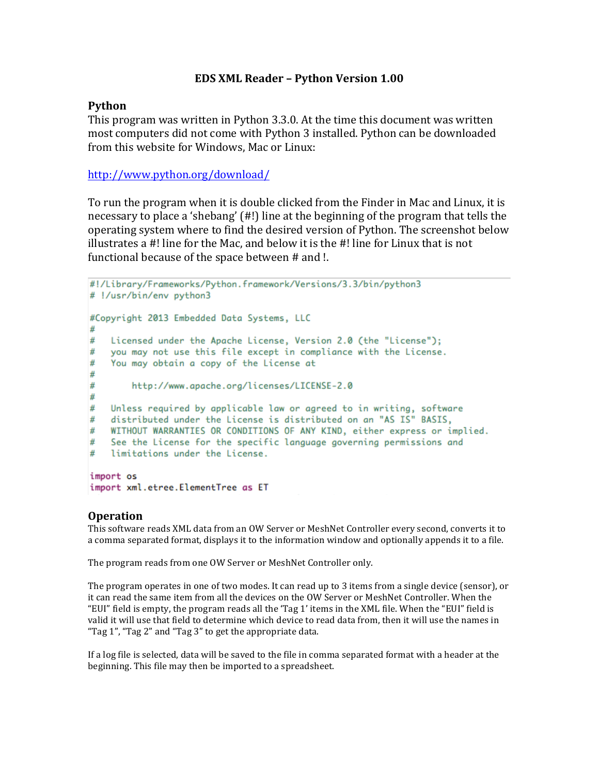## **EDS XML Reader – Python Version 1.00**

## **Python**

This program was written in Python 3.3.0. At the time this document was written most computers did not come with Python 3 installed. Python can be downloaded from this website for Windows, Mac or Linux:

http://www.python.org/download/

To run the program when it is double clicked from the Finder in Mac and Linux, it is necessary to place a 'shebang' (#!) line at the beginning of the program that tells the operating system where to find the desired version of Python. The screenshot below illustrates a  $#!$  line for the Mac, and below it is the  $#!$  line for Linux that is not functional because of the space between  $#$  and  $!$ .

```
#!/Library/Frameworks/Python.framework/Versions/3.3/bin/python3
# !/usr/bin/env python3
#Copyright 2013 Embedded Data Systems, LLC
   Licensed under the Apache License, Version 2.0 (the "License");
#
#
   you may not use this file except in compliance with the License.
#
   You may obtain a copy of the License at
#
        http://www.apache.org/licenses/LICENSE-2.0
#
#
#
  Unless required by applicable law or agreed to in writing, software
   distributed under the License is distributed on an "AS IS" BASIS,
\frac{H}{2}WITHOUT WARRANTIES OR CONDITIONS OF ANY KIND, either express or implied.
\#See the License for the specific language governing permissions and
#
   limitations under the License.
#
import os
```

```
import xml.etree.ElementTree as ET
```
## **Operation**

This software reads XML data from an OW Server or MeshNet Controller every second, converts it to a comma separated format, displays it to the information window and optionally appends it to a file.

The program reads from one OW Server or MeshNet Controller only.

The program operates in one of two modes. It can read up to 3 items from a single device (sensor), or it can read the same item from all the devices on the OW Server or MeshNet Controller. When the "EUI" field is empty, the program reads all the 'Tag 1' items in the XML file. When the "EUI" field is valid it will use that field to determine which device to read data from, then it will use the names in "Tag 1", "Tag 2" and "Tag 3" to get the appropriate data.

If a log file is selected, data will be saved to the file in comma separated format with a header at the beginning. This file may then be imported to a spreadsheet.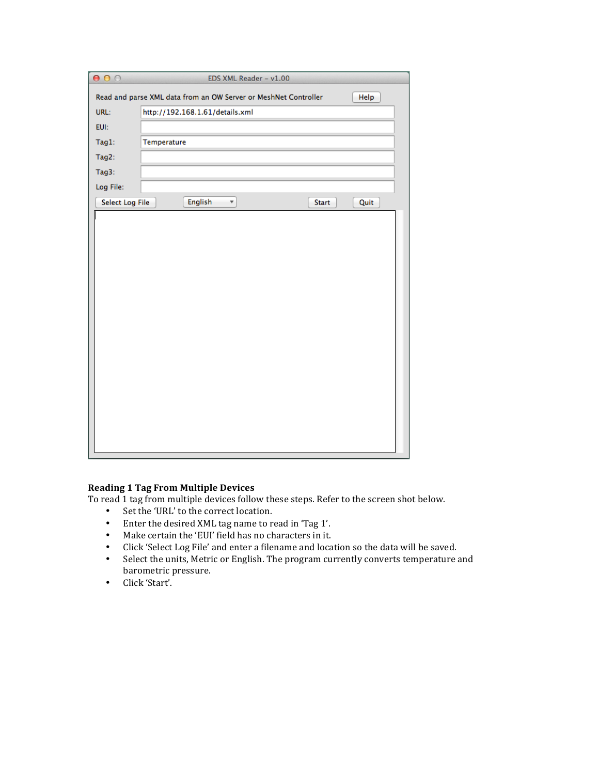| 000                                                                     |             |                                           | EDS XML Reader - v1.00 |       |      |
|-------------------------------------------------------------------------|-------------|-------------------------------------------|------------------------|-------|------|
| Read and parse XML data from an OW Server or MeshNet Controller<br>Help |             |                                           |                        |       |      |
| URL:                                                                    |             | http://192.168.1.61/details.xml           |                        |       |      |
| EUI:                                                                    |             |                                           |                        |       |      |
| Tag1:                                                                   | Temperature |                                           |                        |       |      |
| Tag2:                                                                   |             |                                           |                        |       |      |
| Tag3:                                                                   |             |                                           |                        |       |      |
| Log File:                                                               |             |                                           |                        |       |      |
| Select Log File                                                         |             | <b>English</b><br>$\overline{\mathbf{v}}$ |                        | Start | Quit |
|                                                                         |             |                                           |                        |       |      |
|                                                                         |             |                                           |                        |       |      |
|                                                                         |             |                                           |                        |       |      |
|                                                                         |             |                                           |                        |       |      |
|                                                                         |             |                                           |                        |       |      |
|                                                                         |             |                                           |                        |       |      |
|                                                                         |             |                                           |                        |       |      |
|                                                                         |             |                                           |                        |       |      |
|                                                                         |             |                                           |                        |       |      |
|                                                                         |             |                                           |                        |       |      |
|                                                                         |             |                                           |                        |       |      |
|                                                                         |             |                                           |                        |       |      |
|                                                                         |             |                                           |                        |       |      |
|                                                                         |             |                                           |                        |       |      |
|                                                                         |             |                                           |                        |       |      |
|                                                                         |             |                                           |                        |       |      |
|                                                                         |             |                                           |                        |       |      |

## **Reading 1 Tag From Multiple Devices**

To read 1 tag from multiple devices follow these steps. Refer to the screen shot below.

- Set the 'URL' to the correct location.
- Enter the desired XML tag name to read in 'Tag 1'.
- Make certain the 'EUI' field has no characters in it.
- Click 'Select Log File' and enter a filename and location so the data will be saved.
- Select the units, Metric or English. The program currently converts temperature and barometric pressure.
- Click 'Start'.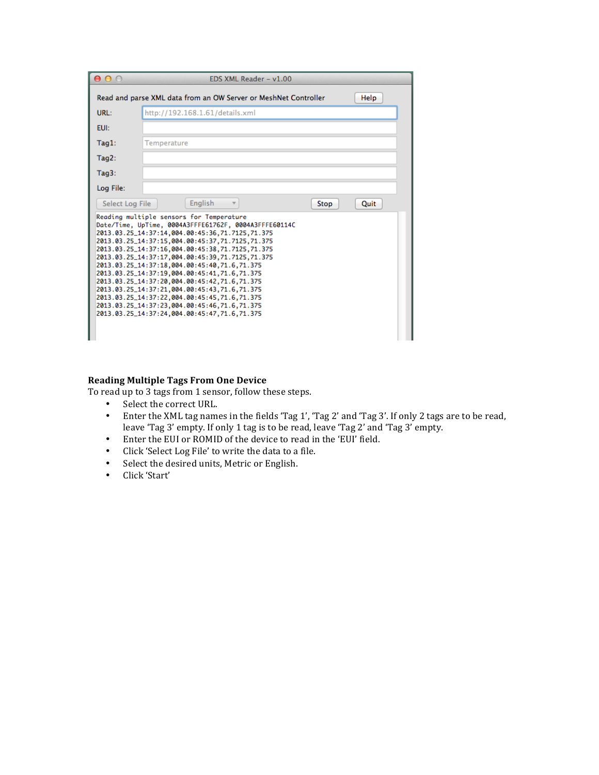| $\bigcap$<br>∩ | EDS XML Reader - v1.00                                                                                                                                                                                                                                                                                                                                                                                                                                                                                                                                                                                                                                        |  |  |  |  |  |
|----------------|---------------------------------------------------------------------------------------------------------------------------------------------------------------------------------------------------------------------------------------------------------------------------------------------------------------------------------------------------------------------------------------------------------------------------------------------------------------------------------------------------------------------------------------------------------------------------------------------------------------------------------------------------------------|--|--|--|--|--|
|                | Read and parse XML data from an OW Server or MeshNet Controller<br>Help                                                                                                                                                                                                                                                                                                                                                                                                                                                                                                                                                                                       |  |  |  |  |  |
| URL:           | http://192.168.1.61/details.xml                                                                                                                                                                                                                                                                                                                                                                                                                                                                                                                                                                                                                               |  |  |  |  |  |
| EUI:           |                                                                                                                                                                                                                                                                                                                                                                                                                                                                                                                                                                                                                                                               |  |  |  |  |  |
| $Taq1$ :       | Temperature                                                                                                                                                                                                                                                                                                                                                                                                                                                                                                                                                                                                                                                   |  |  |  |  |  |
| $Taq2$ :       |                                                                                                                                                                                                                                                                                                                                                                                                                                                                                                                                                                                                                                                               |  |  |  |  |  |
| $Taq3$ :       |                                                                                                                                                                                                                                                                                                                                                                                                                                                                                                                                                                                                                                                               |  |  |  |  |  |
| Log File:      |                                                                                                                                                                                                                                                                                                                                                                                                                                                                                                                                                                                                                                                               |  |  |  |  |  |
|                | English<br>Select Log File<br>Stop<br>Quit<br>$\overline{\phantom{a}}$                                                                                                                                                                                                                                                                                                                                                                                                                                                                                                                                                                                        |  |  |  |  |  |
|                | Reading multiple sensors for Temperature<br>Date/Time, UpTime, 0004A3FFFE61762F, 0004A3FFFE60114C<br>2013.03.25_14:37:14.004.00:45:36.71.7125.71.375<br>2013.03.25_14:37:15.004.00:45:37.71.7125.71.375<br>2013.03.25_14:37:16.004.00:45:38.71.7125.71.375<br>2013.03.25_14:37:17.004.00:45:39.71.7125.71.375<br>2013.03.25_14:37:18.004.00:45:40.71.6.71.375<br>2013.03.25_14:37:19.004.00:45:41.71.6.71.375<br>2013.03.25_14:37:20.004.00:45:42.71.6.71.375<br>2013.03.25_14:37:21,004.00:45:43,71.6,71.375<br>2013.03.25_14:37:22,004.00:45:45,71.6,71.375<br>2013.03.25_14:37:23,004.00:45:46,71.6,71.375<br>2013.03.25_14:37:24,004.00:45:47,71.6,71.375 |  |  |  |  |  |

### **Reading Multiple Tags From One Device**

To read up to 3 tags from 1 sensor, follow these steps.

- Select the correct URL.
- Enter the XML tag names in the fields 'Tag 1', 'Tag 2' and 'Tag 3'. If only 2 tags are to be read, leave 'Tag 3' empty. If only 1 tag is to be read, leave 'Tag 2' and 'Tag 3' empty.
- Enter the EUI or ROMID of the device to read in the 'EUI' field.
- Click 'Select Log File' to write the data to a file.<br>• Select the desired units. Metric or English.
- Select the desired units, Metric or English.
- Click 'Start'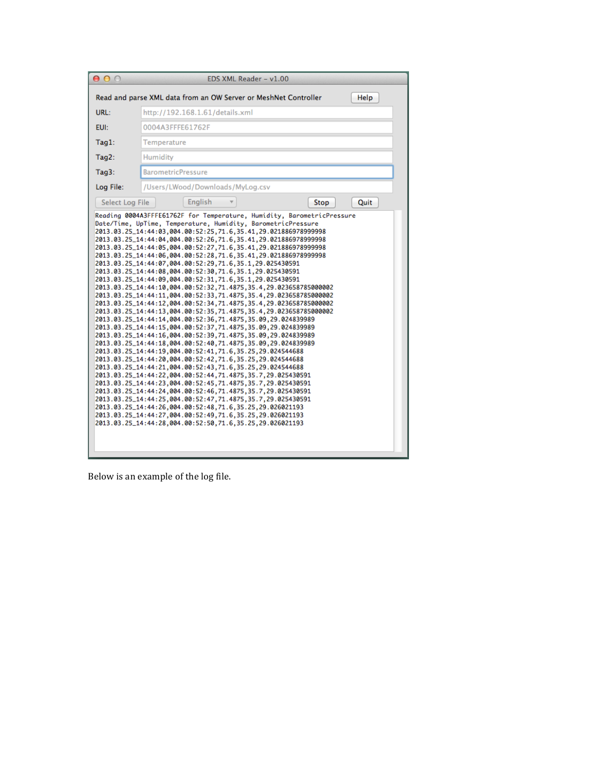| 000                                                                                                                                                                                                                                                                                                                                                                                                                                                                                                                                                                                                                                                                                                                                                                                                                                                                                                                                                                                                                                                                                                                                                                                                                                                                                                                                                                                                                                                                                                                                                             |                                  |                                 | EDS XML Reader - v1.00 |      |      |  |
|-----------------------------------------------------------------------------------------------------------------------------------------------------------------------------------------------------------------------------------------------------------------------------------------------------------------------------------------------------------------------------------------------------------------------------------------------------------------------------------------------------------------------------------------------------------------------------------------------------------------------------------------------------------------------------------------------------------------------------------------------------------------------------------------------------------------------------------------------------------------------------------------------------------------------------------------------------------------------------------------------------------------------------------------------------------------------------------------------------------------------------------------------------------------------------------------------------------------------------------------------------------------------------------------------------------------------------------------------------------------------------------------------------------------------------------------------------------------------------------------------------------------------------------------------------------------|----------------------------------|---------------------------------|------------------------|------|------|--|
| Read and parse XML data from an OW Server or MeshNet Controller                                                                                                                                                                                                                                                                                                                                                                                                                                                                                                                                                                                                                                                                                                                                                                                                                                                                                                                                                                                                                                                                                                                                                                                                                                                                                                                                                                                                                                                                                                 |                                  |                                 |                        |      | Help |  |
| URL:                                                                                                                                                                                                                                                                                                                                                                                                                                                                                                                                                                                                                                                                                                                                                                                                                                                                                                                                                                                                                                                                                                                                                                                                                                                                                                                                                                                                                                                                                                                                                            |                                  | http://192.168.1.61/details.xml |                        |      |      |  |
| <b>EUI:</b>                                                                                                                                                                                                                                                                                                                                                                                                                                                                                                                                                                                                                                                                                                                                                                                                                                                                                                                                                                                                                                                                                                                                                                                                                                                                                                                                                                                                                                                                                                                                                     | 0004A3FFFE61762F                 |                                 |                        |      |      |  |
| Tag1:                                                                                                                                                                                                                                                                                                                                                                                                                                                                                                                                                                                                                                                                                                                                                                                                                                                                                                                                                                                                                                                                                                                                                                                                                                                                                                                                                                                                                                                                                                                                                           | Temperature                      |                                 |                        |      |      |  |
| Tag2:                                                                                                                                                                                                                                                                                                                                                                                                                                                                                                                                                                                                                                                                                                                                                                                                                                                                                                                                                                                                                                                                                                                                                                                                                                                                                                                                                                                                                                                                                                                                                           | Humidity                         |                                 |                        |      |      |  |
| Tag3:                                                                                                                                                                                                                                                                                                                                                                                                                                                                                                                                                                                                                                                                                                                                                                                                                                                                                                                                                                                                                                                                                                                                                                                                                                                                                                                                                                                                                                                                                                                                                           | <b>BarometricPressure</b>        |                                 |                        |      |      |  |
| Log File:                                                                                                                                                                                                                                                                                                                                                                                                                                                                                                                                                                                                                                                                                                                                                                                                                                                                                                                                                                                                                                                                                                                                                                                                                                                                                                                                                                                                                                                                                                                                                       | /Users/LWood/Downloads/MyLog.csv |                                 |                        |      |      |  |
| Select Log File                                                                                                                                                                                                                                                                                                                                                                                                                                                                                                                                                                                                                                                                                                                                                                                                                                                                                                                                                                                                                                                                                                                                                                                                                                                                                                                                                                                                                                                                                                                                                 |                                  | English                         |                        | Stop | Quit |  |
| 2013.03.25_14:44:04,004.00:52:26,71.6,35.41,29.021886978999998<br>2013.03.25_14:44:05,004.00:52:27,71.6,35.41,29.021886978999998<br>2013.03.25_14:44:06,004.00:52:28,71.6,35.41,29.021886978999998<br>2013.03.25_14:44:07,004.00:52:29,71.6,35.1,29.025430591<br>2013.03.25_14:44:08.004.00:52:30.71.6.35.1.29.025430591<br>2013.03.25_14:44:09.004.00:52:31.71.6.35.1.29.025430591<br>2013.03.25_14:44:10,004.00:52:32,71.4875,35.4,29.023658785000002<br>2013.03.25_14:44:11,004.00:52:33,71.4875,35.4,29.023658785000002<br>2013.03.25_14:44:12.004.00:52:34.71.4875.35.4.29.023658785000002<br>2013.03.25_14:44:13,004.00:52:35,71.4875,35.4,29.023658785000002<br>2013.03.25_14:44:14,004.00:52:36,71.4875,35.09,29.024839989<br>2013.03.25_14:44:15,004.00:52:37,71.4875,35.09,29.024839989<br>2013.03.25_14:44:16,004.00:52:39,71.4875,35.09,29.024839989<br>2013.03.25_14:44:18.004.00:52:40.71.4875.35.09.29.024839989<br>2013.03.25_14:44:19,004.00:52:41,71.6,35.25,29.024544688<br>2013.03.25_14:44:20,004.00:52:42,71.6,35.25,29.024544688<br>2013.03.25_14:44:21.004.00:52:43.71.6.35.25.29.024544688<br>2013.03.25_14:44:22,004.00:52:44,71.4875,35.7,29.025430591<br>2013.03.25_14:44:23,004.00:52:45,71.4875,35.7,29.025430591<br>2013.03.25_14:44:24,004.00:52:46,71.4875,35.7,29.025430591<br>2013.03.25_14:44:25,004.00:52:47,71.4875,35.7,29.025430591<br>2013.03.25_14:44:26,004.00:52:48,71.6,35.25,29.026021193<br>2013.03.25_14:44:27,004.00:52:49,71.6,35.25,29.026021193<br>2013.03.25_14:44:28,004.00:52:50,71.6,35.25,29.026021193 |                                  |                                 |                        |      |      |  |

Below is an example of the log file.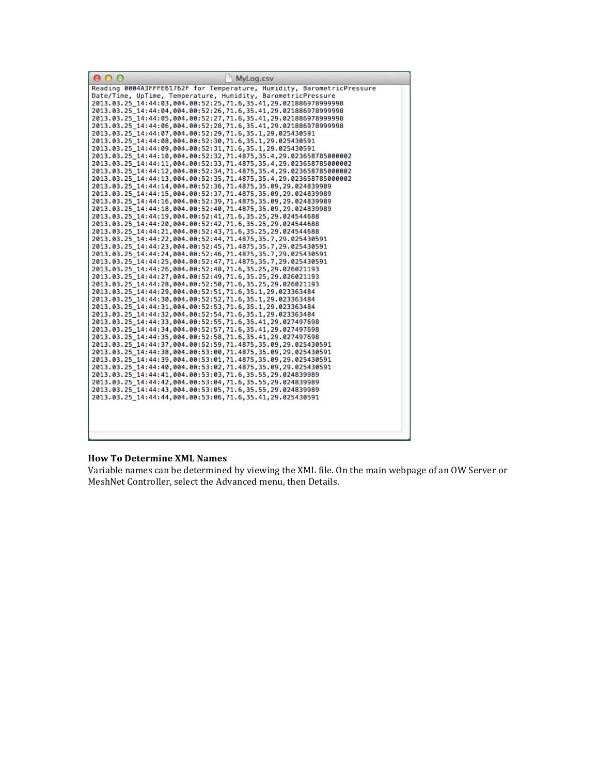| MyLog.csv<br>$\circ$                                                                                                           |
|--------------------------------------------------------------------------------------------------------------------------------|
| Reading 0004A3FFFE61762F for Temperature, Humidity, BarometricPressure                                                         |
| Date/Time, UpTime, Temperature, Humidity, BarometricPressure<br>2013.03.25 14:44:03.004.00:52:25.71.6.35.41.29.021886978999998 |
| 2013.03.25 14:44:04,004.00:52:26,71.6,35.41,29.021886978999998                                                                 |
| 2013.03.25_14:44:05,004.00:52:27,71.6,35.41,29.021886978999998                                                                 |
| 2013.03.25 14:44:06,004.00:52:28,71.6,35.41,29.021886978999998                                                                 |
| 2013.03.25_14:44:07,004.00:52:29,71.6,35.1,29.025430591                                                                        |
| 2013.03.25_14:44:08,004.00:52:30,71.6,35.1,29.025430591                                                                        |
| 2013.03.25 14:44:09,004.00:52:31,71.6,35.1,29.025430591<br>2013.03.25_14:44:10,004.00:52:32,71.4875,35.4,29.023658785000002    |
| 2013.03.25 14:44:11,004.00:52:33,71.4875,35.4,29.023658785000002                                                               |
| 2013.03.25_14:44:12,004.00:52:34,71.4875,35.4,29.023658785000002                                                               |
| 2013.03.25 14:44:13,004.00:52:35,71.4875,35.4,29.023658785000002                                                               |
| 2013.03.25_14:44:14,004.00:52:36,71.4875,35.09,29.024839989                                                                    |
| 2013.03.25 14:44:15,004.00:52:37,71.4875,35.09,29.024839989<br>2013.03.25 14:44:16,004.00:52:39,71.4875,35.09,29.024839989     |
| 2013.03.25 14:44:18,004.00:52:40,71.4875,35.09,29.024839989                                                                    |
| 2013.03.25 14:44:19,004.00:52:41,71.6,35.25,29.024544688                                                                       |
| 2013.03.25 14:44:20.004.00:52:42.71.6.35.25.29.024544688                                                                       |
| 2013.03.25 14:44:21,004.00:52:43,71.6,35.25,29.024544688                                                                       |
| 2013.03.25 14:44:22.004.00:52:44.71.4875.35.7.29.025430591<br>2013.03.25 14:44:23,004.00:52:45,71.4875,35.7,29.025430591       |
| 2013.03.25_14:44:24,004.00:52:46,71.4875,35.7,29.025430591                                                                     |
| 2013.03.25_14:44:25,004.00:52:47,71.4875,35.7,29.025430591                                                                     |
| 2013.03.25 14:44:26,004.00:52:48,71.6,35.25,29.026021193                                                                       |
| 2013.03.25_14:44:27,004.00:52:49,71.6,35.25,29.026021193                                                                       |
| 2013.03.25_14:44:28,004.00:52:50,71.6,35.25,29.026021193                                                                       |
| 2013.03.25_14:44:29,004.00:52:51,71.6,35.1,29.023363484<br>2013.03.25 14:44:30,004.00:52:52,71.6,35.1,29.023363484             |
| 2013.03.25_14:44:31,004.00:52:53,71.6,35.1,29.023363484                                                                        |
| 2013.03.25 14:44:32,004.00:52:54,71.6,35.1,29.023363484                                                                        |
| 2013.03.25_14:44:33,004.00:52:55,71.6,35.41,29.027497698                                                                       |
| 2013.03.25 14:44:34,004.00:52:57,71.6,35.41,29.027497698<br>2013.03.25 14:44:35.004.00:52:58.71.6.35.41.29.027497698           |
| 2013.03.25 14:44:37,004.00:52:59,71.4875,35.09,29.025430591                                                                    |
| 2013.03.25 14:44:38,004.00:53:00,71.4875,35.09,29.025430591                                                                    |
| 2013.03.25_14:44:39,004.00:53:01,71.4875,35.09,29.025430591                                                                    |
| 2013.03.25 14:44:40,004.00:53:02,71.4875,35.09,29.025430591                                                                    |
| 2013.03.25_14:44:41,004.00:53:03,71.6,35.55,29.024839989                                                                       |
| 2013.03.25 14:44:42,004.00:53:04,71.6,35.55,29.024839989<br>2013.03.25_14:44:43,004.00:53:05,71.6,35.55,29.024839989           |
| 2013.03.25_14:44:44,004.00:53:06,71.6,35.41,29.025430591                                                                       |
|                                                                                                                                |
|                                                                                                                                |
|                                                                                                                                |
|                                                                                                                                |

#### **How To Determine XML Names**

Variable names can be determined by viewing the XML file. On the main webpage of an OW Server or MeshNet Controller, select the Advanced menu, then Details.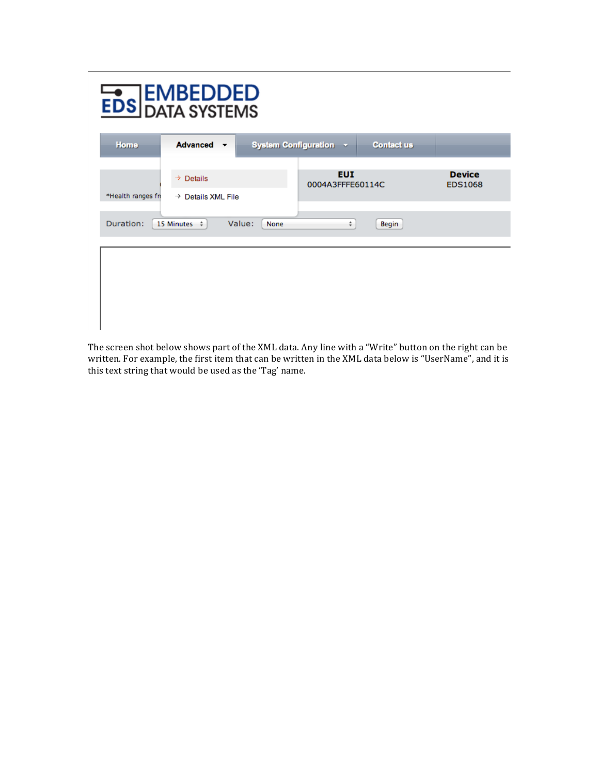| <b>EDS DATA SYSTEMS</b>                                               |                                             |  |                                |                   |                                 |
|-----------------------------------------------------------------------|---------------------------------------------|--|--------------------------------|-------------------|---------------------------------|
| Home                                                                  | Advanced v                                  |  | System Configuration v         | <b>Contact us</b> |                                 |
| *Health ranges fro                                                    | $\Rightarrow$ Details<br>→ Details XML File |  | <b>EUI</b><br>0004A3FFFE60114C |                   | <b>Device</b><br><b>EDS1068</b> |
| Duration:<br>Value:<br>15 Minutes $\div$<br>÷<br>None<br><b>Begin</b> |                                             |  |                                |                   |                                 |
|                                                                       |                                             |  |                                |                   |                                 |
|                                                                       |                                             |  |                                |                   |                                 |
|                                                                       |                                             |  |                                |                   |                                 |

The screen shot below shows part of the XML data. Any line with a "Write" button on the right can be written. For example, the first item that can be written in the XML data below is "UserName", and it is this text string that would be used as the 'Tag' name.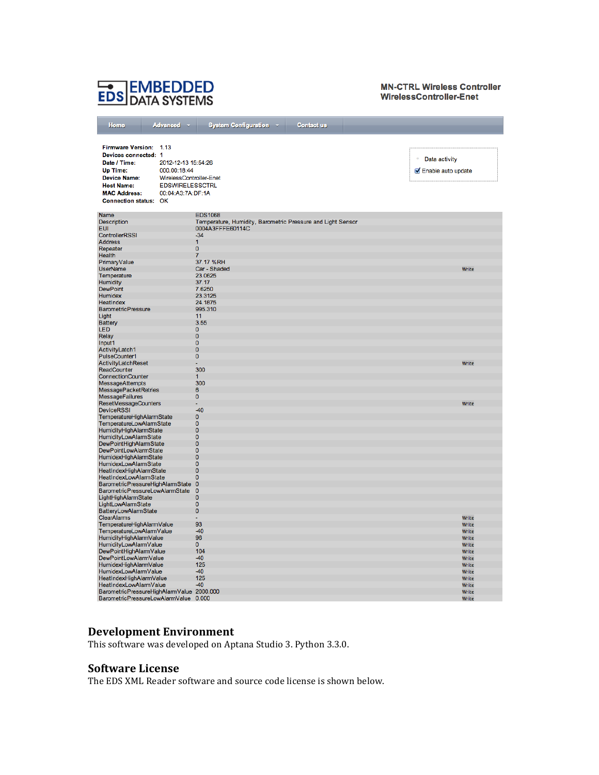# **EDS EMBEDDED**

#### **MN-CTRL Wireless Controller** WirelessController-Enet

| Home<br><b>Advanced</b>                                       | System Configuration v<br><b>Contact us</b>                                     |                    |
|---------------------------------------------------------------|---------------------------------------------------------------------------------|--------------------|
|                                                               |                                                                                 |                    |
|                                                               |                                                                                 |                    |
| Firmware Version: 1.13                                        |                                                                                 |                    |
| Devices connected: 1                                          |                                                                                 | Data activity      |
| Date / Time:<br>2012-12-13 15:54:26                           |                                                                                 |                    |
| Up Time:<br>000.00:18:44                                      |                                                                                 | Enable auto update |
| <b>Device Name:</b><br>WirelessController-Enet                |                                                                                 |                    |
| <b>EDSWIRELESSCTRL</b><br><b>Host Name:</b>                   |                                                                                 |                    |
| <b>MAC Address:</b><br>00:04:A3:7A:DF:1A                      |                                                                                 |                    |
| Connection status: OK                                         |                                                                                 |                    |
|                                                               |                                                                                 |                    |
| Name<br>Description                                           | <b>EDS1068</b>                                                                  |                    |
| <b>EUI</b>                                                    | Temperature, Humidity, Barometric Pressure and Light Sensor<br>0004A3FFFE60114C |                    |
| <b>ControllerRSSI</b>                                         | $-34$                                                                           |                    |
| Address                                                       | 1                                                                               |                    |
| Repeater                                                      | $\mathbf 0$                                                                     |                    |
| Health                                                        | 7                                                                               |                    |
| PrimaryValue                                                  | 37.17 %RH                                                                       |                    |
| <b>UserName</b>                                               | Car - Shaded                                                                    | Write              |
| Temperature                                                   | 23.0625                                                                         |                    |
| Humidity                                                      | 37.17                                                                           |                    |
| <b>DewPoint</b><br>Humidex                                    | 7.6250<br>23.3125                                                               |                    |
| <b>HeatIndex</b>                                              | 24.1875                                                                         |                    |
| <b>BarometricPressure</b>                                     | 995.310                                                                         |                    |
| Light                                                         | 11                                                                              |                    |
| <b>Battery</b>                                                | 3.55                                                                            |                    |
| LED                                                           | 0                                                                               |                    |
| Relay                                                         | O                                                                               |                    |
| Input1                                                        | 0                                                                               |                    |
| ActivityLatch1                                                | $\overline{0}$                                                                  |                    |
| PulseCounter1<br>ActivityLatchReset                           | $\mathbf{0}$                                                                    | Write              |
| ReadCounter                                                   | 300                                                                             |                    |
| ConnectionCounter                                             | 1                                                                               |                    |
| <b>MessageAttempts</b>                                        | 300                                                                             |                    |
| <b>MessagePacketRetries</b>                                   | 6                                                                               |                    |
| <b>MessageFailures</b>                                        | $\overline{0}$                                                                  |                    |
| <b>ResetMessageCounters</b>                                   |                                                                                 | Write              |
| <b>DeviceRSSI</b>                                             | $-40$                                                                           |                    |
| TemperatureHighAlarmState                                     | $\pmb{0}$                                                                       |                    |
| <b>TemperatureLowAlarmState</b>                               | 0<br>O                                                                          |                    |
| <b>HumidityHighAlarmState</b><br><b>HumidityLowAlarmState</b> | $\overline{0}$                                                                  |                    |
| DewPointHighAlarmState                                        | $\mathbf{0}$                                                                    |                    |
| <b>DewPointLowAlarmState</b>                                  | 0                                                                               |                    |
| HumidexHighAlarmState                                         | $\overline{0}$                                                                  |                    |
| <b>HumidexLowAlarmState</b>                                   | $\overline{0}$                                                                  |                    |
| HeatIndexHighAlarmState                                       | $\mathbf 0$                                                                     |                    |
| HeatIndexLowAlarmState                                        | $\overline{0}$                                                                  |                    |
| BarometricPressureHighAlarmState 0                            |                                                                                 |                    |
| <b>BarometricPressureLowAlarmState</b><br>LightHighAlarmState | $\mathbf 0$<br>$\pmb{0}$                                                        |                    |
| LightLowAlarmState                                            | $\overline{0}$                                                                  |                    |
| <b>BatteryLowAlarmState</b>                                   | $\mathbf 0$                                                                     |                    |
| <b>ClearAlarms</b>                                            |                                                                                 | Write              |
| TemperatureHighAlarmValue                                     | 93                                                                              | Write              |
| TemperatureLowAlarmValue                                      | $-40$                                                                           | Write              |
| HumidityHighAlarmValue                                        | 96                                                                              | Write              |
| HumidityLowAlarmValue                                         | $\overline{0}$                                                                  | Write              |
| DewPointHighAlarmValue                                        | 104                                                                             | Write              |
| DewPointLowAlarmValue<br>HumidexHighAlarmValue                | $-40$<br>125                                                                    | Write<br>Write     |
| HumidexLowAlarmValue                                          | $-40$                                                                           | Write              |
| HeatIndexHighAlarmValue                                       | 125                                                                             | Write              |
| HeatIndexLowAlarmValue                                        | $-40$                                                                           | Write              |
| BarometricPressureHighAlarmValue 2000.000                     |                                                                                 | Write              |
| BarometricPressureLowAlarmValue 0.000                         |                                                                                 | Write              |

### **Development Environment**

This software was developed on Aptana Studio 3. Python 3.3.0.

## **Software License**

The EDS XML Reader software and source code license is shown below.